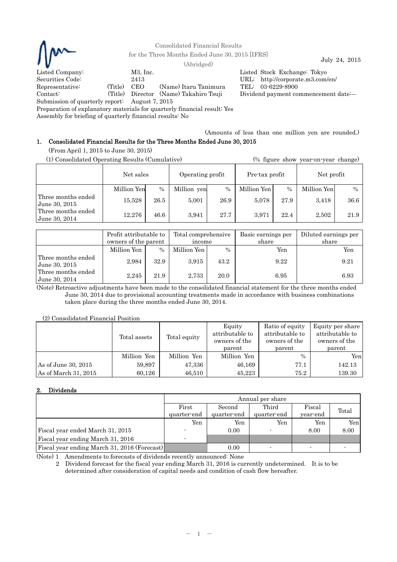

Consolidated Financial Results

for the Three Months Ended June 30, 2015 [IFRS]  $\qquad \qquad$  July 24, 2015

Listed Company: M3, Inc. Listed Stock Exchange: Tokyo Securities Code: 2413 URL: http://corporate.m3.com/en/ Representative: (Title) CEO (Name) Itaru Tanimura TEL: 03-6229-8900 Contact: (Title) Director (Name) Takahiro Tsuji Dividend payment commencement date:―

Submission of quarterly report: August 7, 2015

Preparation of explanatory materials for quarterly financial result: Yes

Assembly for briefing of quarterly financial results: No

(Amounts of less than one million yen are rounded.)

# 1. Consolidated Financial Results for the Three Months Ended June 30, 2015

(From April 1, 2015 to June 30, 2015)

| (1) Consolidated Operating Results (Cumulative) |             |      |                  | (% figure show year-on-year change) |                |               |             |               |
|-------------------------------------------------|-------------|------|------------------|-------------------------------------|----------------|---------------|-------------|---------------|
|                                                 | Net sales   |      | Operating profit |                                     | Pre-tax profit |               | Net profit  |               |
|                                                 | Million Yen | $\%$ | Million yen      | $\frac{0}{0}$                       | Million Yen    | $\frac{0}{0}$ | Million Yen | $\frac{0}{0}$ |
| Three months ended<br>June 30, 2015             | 15,528      | 26.5 | 5.001            | 26.9                                | 5,078          | 27.9          | 3,418       | 36.6          |
| Three months ended<br>June 30, 2014             | 12.276      | 46.6 | 3.941            | 27.7                                | 3.971          | 22.4          | 2.502       | 21.9          |

|                                     | Profit attributable to<br>owners of the parent |               | Total comprehensive<br>income |      | Basic earnings per<br>share | Diluted earnings per<br>share |
|-------------------------------------|------------------------------------------------|---------------|-------------------------------|------|-----------------------------|-------------------------------|
|                                     | Million Yen                                    | $\frac{0}{0}$ | Million Yen I                 | $\%$ | Yen                         | Yen                           |
| Three months ended<br>June 30, 2015 | 2.984                                          | 32.9          | 3.915                         | 43.2 | 9.22                        | 9.21                          |
| Three months ended<br>June 30, 2014 | 2.245                                          | 21.9          | 2.733                         | 20.0 | 6.95                        | 6.93                          |

(Note) Retroactive adjustments have been made to the consolidated financial statement for the three months ended June 30, 2014 due to provisional accounting treatments made in accordance with business combinations taken place during the three months ended June 30, 2014.

## (2) Consolidated Financial Position

|                        | Total assets | Total equity | Equity<br>attributable to<br>owners of the<br>parent | Ratio of equity<br>attributable to<br>owners of the<br>parent | Equity per share<br>attributable to<br>owners of the<br>parent |
|------------------------|--------------|--------------|------------------------------------------------------|---------------------------------------------------------------|----------------------------------------------------------------|
|                        | Million Yen  | Million Yen  | Million Yen                                          | $\%$                                                          | Yenl                                                           |
| As of June 30, $2015$  | 59,897       | 47,336       | 46,169                                               | 77.1                                                          | 142.13                                                         |
| As of March 31, $2015$ | 60.126       | 46,510       | 45,223                                               | 75.2                                                          | 139.30                                                         |

## 2. Dividends

|                                              | Annual per share         |             |             |          |       |  |  |
|----------------------------------------------|--------------------------|-------------|-------------|----------|-------|--|--|
|                                              | First                    | Second      | Third       | Fiscal   | Total |  |  |
|                                              | quarter-end              | quarter-end | quarter-end | year-end |       |  |  |
|                                              | Yen                      | Yen         | Yen         | Yen      | Yen   |  |  |
| Fiscal year ended March 31, 2015             |                          | 0.00        |             | 8.00     | 8.00  |  |  |
| Fiscal year ending March 31, 2016            | $\overline{\phantom{a}}$ |             |             |          |       |  |  |
| Fiscal year ending March 31, 2016 (Forecast) |                          | 0.00        |             |          |       |  |  |

(Note) 1 Amendments to forecasts of dividends recently announced: None

2 Dividend forecast for the fiscal year ending March 31, 2016 is currently undetermined. It is to be determined after consideration of capital needs and condition of cash flow hereafter.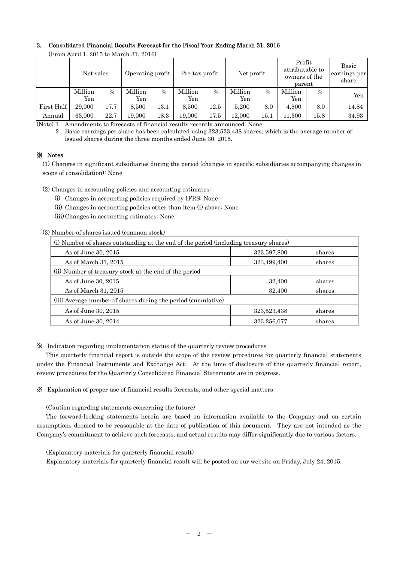# 3. Consolidated Financial Results Forecast for the Fiscal Year Ending March 31, 2016

| $\mu$ rom hpm 1, 2010 to march 01, 2010/ |           |      |                  |               |                |      |            |          |                                                      |      |                                |
|------------------------------------------|-----------|------|------------------|---------------|----------------|------|------------|----------|------------------------------------------------------|------|--------------------------------|
|                                          | Net sales |      | Operating profit |               | Pre-tax profit |      | Net profit |          | Profit<br>attributable to<br>owners of the<br>parent |      | Basic<br>earnings per<br>share |
|                                          | Million   | $\%$ | Million          | $\frac{0}{0}$ | Million        | $\%$ | Million    | $\%$     | Million                                              | $\%$ | Yen                            |
|                                          | Yen       |      | Yen              |               | Yen            |      | Yen        |          | Yen                                                  |      |                                |
| First Half                               | 29,000    | 17.7 | 8.500            | $13.1\,$      | 8.500          | 12.5 | 5.200      | 8.0      | 4,800                                                | 8.0  | 14.84                          |
| Annual                                   | 63,000    | 22.7 | 19.000           | 18.3          | 19.000         | 17.5 | 12.000     | $15.1\,$ | 11.300                                               | 15.8 | 34.93                          |

(From April 1, 2015 to March 31, 2016)

(Note) 1 Amendments to forecasts of financial results recently announced: None

2 Basic earnings per share has been calculated using 323,523,438 shares, which is the average number of issued shares during the three months ended June 30, 2015.

## ※ Notes

(1) Changes in significant subsidiaries during the period (changes in specific subsidiaries accompanying changes in scope of consolidation): None

(2) Changes in accounting policies and accounting estimates:

(i) Changes in accounting policies required by IFRS: None

(ii) Changes in accounting policies other than item (i) above: None

(iii) Changes in accounting estimates: None

(3) Number of shares issued (common stock)

| (i) Number of shares outstanding at the end of the period (including treasury shares) |             |        |  |  |  |
|---------------------------------------------------------------------------------------|-------------|--------|--|--|--|
| As of June 30, 2015                                                                   | 323,597,800 | shares |  |  |  |
| As of March 31, 2015                                                                  | 323,499,400 | shares |  |  |  |
| (ii) Number of treasury stock at the end of the period                                |             |        |  |  |  |
| As of June 30, 2015                                                                   | 32,400      | shares |  |  |  |
| As of March 31, 2015                                                                  | 32,400      | shares |  |  |  |
| (iii) Average number of shares during the period (cumulative)                         |             |        |  |  |  |
| As of June 30, 2015                                                                   | 323,523,438 | shares |  |  |  |
| As of June 30, 2014                                                                   | 323,256,077 | shares |  |  |  |

※ Indication regarding implementation status of the quarterly review procedures

This quarterly financial report is outside the scope of the review procedures for quarterly financial statements under the Financial Instruments and Exchange Act. At the time of disclosure of this quarterly financial report, review procedures for the Quarterly Consolidated Financial Statements are in progress.

※ Explanation of proper use of financial results forecasts, and other special matters

(Caution regarding statements concerning the future)

The forward-looking statements herein are based on information available to the Company and on certain assumptions deemed to be reasonable at the date of publication of this document. They are not intended as the Company's commitment to achieve such forecasts, and actual results may differ significantly due to various factors.

(Explanatory materials for quarterly financial result)

Explanatory materials for quarterly financial result will be posted on our website on Friday, July 24, 2015.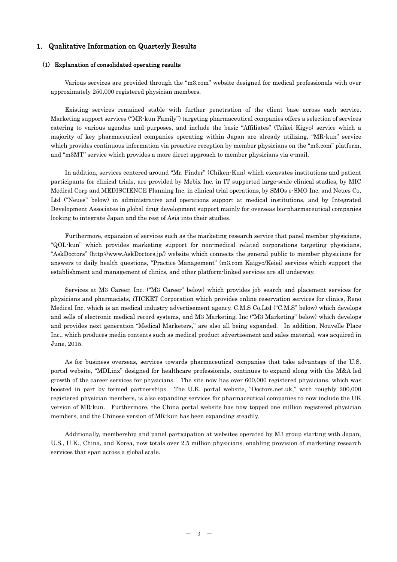## 1. Qualitative Information on Quarterly Results

## (1) Explanation of consolidated operating results

Various services are provided through the "m3.com" website designed for medical professionals with over approximately 250,000 registered physician members.

Existing services remained stable with further penetration of the client base across each service. Marketing support services ("MR-kun Family") targeting pharmaceutical companies offers a selection of services catering to various agendas and purposes, and include the basic "Affiliates" (Teikei Kigyo) service which a majority of key pharmaceutical companies operating within Japan are already utilizing, "MR-kun" service which provides continuous information via proactive reception by member physicians on the "m3.com" platform, and "m3MT" service which provides a more direct approach to member physicians via e-mail.

In addition, services centered around "Mr. Finder" (Chiken-Kun) which excavates institutions and patient participants for clinical trials, are provided by Mebix Inc. in IT supported large-scale clinical studies, by MIC Medical Corp and MEDISCIENCE Planning Inc. in clinical trial operations, by SMOs e-SMO Inc. and Neues Co, Ltd ("Neues" below) in administrative and operations support at medical institutions, and by Integrated Development Associates in global drug development support mainly for overseas bio-pharmaceutical companies looking to integrate Japan and the rest of Asia into their studies.

Furthermore, expansion of services such as the marketing research service that panel member physicians, "QOL-kun" which provides marketing support for non-medical related corporations targeting physicians, "AskDoctors" (http://www.AskDoctors.jp/) website which connects the general public to member physicians for answers to daily health questions, "Practice Management" (m3.com Kaigyo/Keiei) services which support the establishment and management of clinics, and other platform-linked services are all underway.

Services at M3 Career, Inc. ("M3 Career" below) which provides job search and placement services for physicians and pharmacists, iTICKET Corporation which provides online reservation services for clinics, Reno Medical Inc. which is an medical industry advertisement agency, C.M.S Co.Ltd ("C.M.S" below) which develops and sells of electronic medical record systems, and M3 Marketing, Inc ("M3 Marketing" below) which develops and provides next generation "Medical Marketers," are also all being expanded. In addition, Nouvelle Place Inc., which produces media contents such as medical product advertisement and sales material, was acquired in June, 2015.

As for business overseas, services towards pharmaceutical companies that take advantage of the U.S. portal website, "MDLinx" designed for healthcare professionals, continues to expand along with the M&A led growth of the career services for physicians. The site now has over 600,000 registered physicians, which was boosted in part by formed partnerships. The U.K. portal website, "Doctors.net.uk," with roughly 200,000 registered physician members, is also expanding services for pharmaceutical companies to now include the UK version of MR-kun. Furthermore, the China portal website has now topped one million registered physician members, and the Chinese version of MR-kun has been expanding steadily.

Additionally, membership and panel participation at websites operated by M3 group starting with Japan, U.S., U.K., China, and Korea, now totals over 2.5 million physicians, enabling provision of marketing research services that span across a global scale.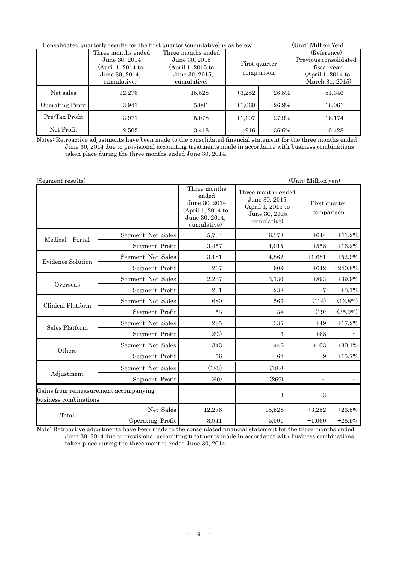| Consolidated quarterly results for the first quarter (cumulative) is as below. | (Unit: Million Yen) |                    |               |          |                       |
|--------------------------------------------------------------------------------|---------------------|--------------------|---------------|----------|-----------------------|
|                                                                                | Three months ended  | Three months ended |               |          | (Reference)           |
|                                                                                | June 30, 2014       | June 30, 2015      | First quarter |          | Previous consolidated |
|                                                                                | $(April 1, 2014$ to | (April 1, 2015 to  |               |          | fiscal year           |
|                                                                                | June 30, 2014,      | June 30, 2015,     | comparison    |          | (April 1, 2014 to     |
|                                                                                | cumulative)         | cumulative)        |               |          | March 31, 2015)       |
| Net sales                                                                      | 12.276              | 15,528             | $+3,252$      | $+26.5%$ | 51,346                |
| Operating Profit                                                               | 3,941               | 5,001              | $+1,060$      | $+26.9%$ | 16,061                |
| Pre-Tax Profit                                                                 | 3,971               | 5,078              | $+1,107$      | $+27.9%$ | 16,174                |
| Net Profit                                                                     | 2,502               | 3,418              | $+916$        | $+36.6%$ | 10,428                |

Notes: Retroactive adjustments have been made to the consolidated financial statement for the three months ended June 30, 2014 due to provisional accounting treatments made in accordance with business combinations taken place during the three months ended June 30, 2014.

| (Segment results)                                              |                   |                                                                                              |                                                                                           | (Unit: Million yen)         |            |
|----------------------------------------------------------------|-------------------|----------------------------------------------------------------------------------------------|-------------------------------------------------------------------------------------------|-----------------------------|------------|
|                                                                |                   | Three months<br>ended<br>June 30, 2014<br>(April 1, 2014 to<br>June 30, 2014,<br>cumulative) | Three months ended<br>June 30, 2015<br>(April 1, 2015 to<br>June 30, 2015,<br>cumulative) | First quarter<br>comparison |            |
| Medical Portal                                                 | Segment Net Sales | 5,734                                                                                        | 6,378                                                                                     | $+644$                      | $+11.2%$   |
|                                                                | Segment Profit    | 3,457                                                                                        | 4,015                                                                                     | $+558$                      | $+16.2%$   |
| <b>Evidence Solution</b>                                       | Segment Net Sales | 3,181                                                                                        | 4,862                                                                                     | $+1,681$                    | $+52.9%$   |
|                                                                | Segment Profit    | 267                                                                                          | 909                                                                                       | $+642$                      | $+240.8%$  |
|                                                                | Segment Net Sales | 2,237                                                                                        | 3,130                                                                                     | $+893$                      | $+39.9%$   |
| Overseas                                                       | Segment Profit    | 231                                                                                          | 238                                                                                       | $+7$                        | $+3.1%$    |
| Clinical Platform                                              | Segment Net Sales | 680                                                                                          | 566                                                                                       | (114)                       | $(16.8\%)$ |
|                                                                | Segment Profit    | 53                                                                                           | 34                                                                                        | (19)                        | $(35.0\%)$ |
|                                                                | Segment Net Sales | 285                                                                                          | 335                                                                                       | $+49$                       | $+17.2%$   |
| Sales Platform                                                 | Segment Profit    | (63)                                                                                         | 6                                                                                         | $+68$                       |            |
|                                                                | Segment Net Sales | 343                                                                                          | 446                                                                                       | $+103$                      | $+30.1%$   |
| Others                                                         | Segment Profit    | 56                                                                                           | 64                                                                                        | $+9$                        | $+15.7%$   |
|                                                                | Segment Net Sales | (183)                                                                                        | (188)                                                                                     | $\overline{\phantom{a}}$    |            |
| Adjustment                                                     | Segment Profit    | (60)                                                                                         | (269)                                                                                     | ÷,                          |            |
| Gains from remeasurement accompanying<br>business combinations |                   |                                                                                              | 3                                                                                         | $+3$                        |            |
|                                                                | Net Sales         | 12,276                                                                                       | 15,528                                                                                    | $+3,252$                    | $+26.5%$   |
| Total                                                          | Operating Profit  | 3,941                                                                                        | 5,001                                                                                     | $+1,060$                    | $+26.9%$   |

Note: Retroactive adjustments have been made to the consolidated financial statement for the three months ended June 30, 2014 due to provisional accounting treatments made in accordance with business combinations taken place during the three months ended June 30, 2014.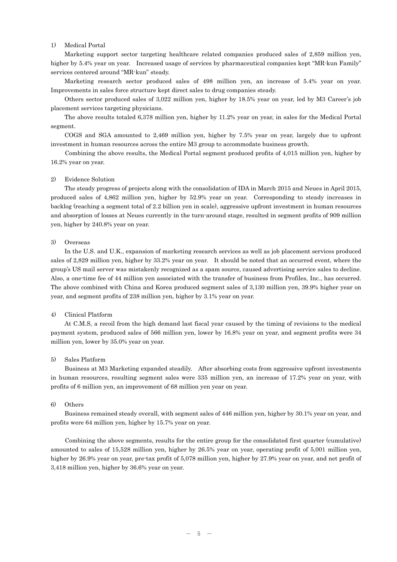### 1) Medical Portal

Marketing support sector targeting healthcare related companies produced sales of 2,859 million yen, higher by 5.4% year on year. Increased usage of services by pharmaceutical companies kept "MR-kun Family" services centered around "MR-kun" steady.

Marketing research sector produced sales of 498 million yen, an increase of 5.4% year on year. Improvements in sales force structure kept direct sales to drug companies steady.

Others sector produced sales of 3,022 million yen, higher by 18.5% year on year, led by M3 Career's job placement services targeting physicians.

The above results totaled 6,378 million yen, higher by 11.2% year on year, in sales for the Medical Portal segment.

 COGS and SGA amounted to 2,469 million yen, higher by 7.5% year on year, largely due to upfront investment in human resources across the entire M3 group to accommodate business growth.

 Combining the above results, the Medical Portal segment produced profits of 4,015 million yen, higher by 16.2% year on year.

### 2) Evidence Solution

The steady progress of projects along with the consolidation of IDA in March 2015 and Neues in April 2015, produced sales of 4,862 million yen, higher by 52.9% year on year. Corresponding to steady increases in backlog (reaching a segment total of 2.2 billion yen in scale), aggressive upfront investment in human resources and absorption of losses at Neues currently in the turn-around stage, resulted in segment profits of 909 million yen, higher by 240.8% year on year.

#### 3) Overseas

In the U.S. and U.K., expansion of marketing research services as well as job placement services produced sales of 2,829 million yen, higher by 33.2% year on year. It should be noted that an occurred event, where the group's US mail server was mistakenly recognized as a spam source, caused advertising service sales to decline. Also, a one-time fee of 44 million yen associated with the transfer of business from Profiles, Inc., has occurred. The above combined with China and Korea produced segment sales of 3,130 million yen, 39.9% higher year on year, and segment profits of 238 million yen, higher by 3.1% year on year.

#### 4) Clinical Platform

At C.M.S, a recoil from the high demand last fiscal year caused by the timing of revisions to the medical payment system, produced sales of 566 million yen, lower by 16.8% year on year, and segment profits were 34 million yen, lower by 35.0% year on year.

#### 5) Sales Platform

Business at M3 Marketing expanded steadily. After absorbing costs from aggressive upfront investments in human resources, resulting segment sales were 335 million yen, an increase of 17.2% year on year, with profits of 6 million yen, an improvement of 68 million yen year on year.

#### 6) Others

Business remained steady overall, with segment sales of 446 million yen, higher by 30.1% year on year, and profits were 64 million yen, higher by 15.7% year on year.

Combining the above segments, results for the entire group for the consolidated first quarter (cumulative) amounted to sales of 15,528 million yen, higher by 26.5% year on year, operating profit of 5,001 million yen, higher by 26.9% year on year, pre-tax profit of 5,078 million yen, higher by 27.9% year on year, and net profit of 3,418 million yen, higher by 36.6% year on year.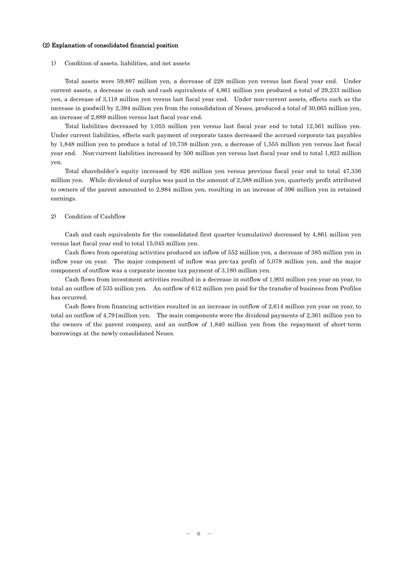## (2) Explanation of consolidated financial position

## 1) Condition of assets, liabilities, and net assets

Total assets were 59,897 million yen, a decrease of 228 million yen versus last fiscal year end. Under current assets, a decrease in cash and cash equivalents of 4,861 million yen produced a total of 29,233 million yen, a decrease of 3,118 million yen versus last fiscal year end. Under non-current assets, effects such as the increase in goodwill by 2,394 million yen from the consolidation of Neues, produced a total of 30,665 million yen, an increase of 2,889 million versus last fiscal year end.

Total liabilities decreased by 1,055 million yen versus last fiscal year end to total 12,561 million yen. Under current liabilities, effects such payment of corporate taxes decreased the accrued corporate tax payables by 1,848 million yen to produce a total of 10,738 million yen, a decrease of 1,555 million yen versus last fiscal year end. Non-current liabilities increased by 500 million yen versus last fiscal year end to total 1,823 million yen.

Total shareholder's equity increased by 826 million yen versus previous fiscal year end to total 47,336 million yen. While dividend of surplus was paid in the amount of 2,588 million yen, quarterly profit attributed to owners of the parent amounted to 2,984 million yen, resulting in an increase of 396 million yen in retained earnings.

### 2) Condition of Cashflow

Cash and cash equivalents for the consolidated first quarter (cumulative) decreased by 4,861 million yen versus last fiscal year end to total 15,045 million yen.

Cash flows from operating activities produced an inflow of 552 million yen, a decrease of 385 million yen in inflow year on year. The major component of inflow was pre-tax profit of 5,078 million yen, and the major component of outflow was a corporate income tax payment of 3,180 million yen.

Cash flows from investment activities resulted in a decrease in outflow of 1,903 million yen year on year, to total an outflow of 535 million yen. An outflow of 612 million yen paid for the transfer of business from Profiles has occurred.

Cash flows from financing activities resulted in an increase in outflow of 2,614 million yen year on year, to total an outflow of 4,791million yen. The main components were the dividend payments of 2,361 million yen to the owners of the parent company, and an outflow of 1,840 million yen from the repayment of short-term borrowings at the newly consolidated Neues.